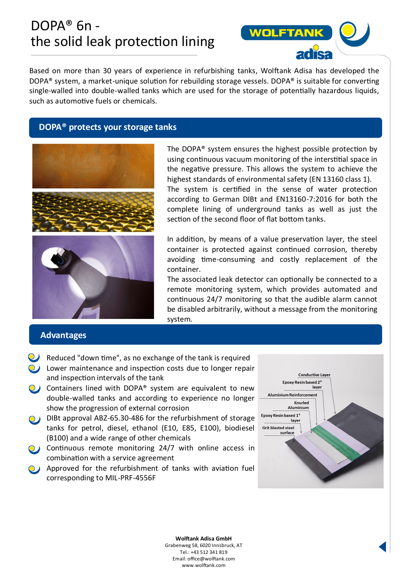# DOPA® 6n the solid leak protection lining



Based on more than 30 years of experience in refurbishing tanks, Wolftank Adisa has developed the DOPA® system, a market-unique solution for rebuilding storage vessels. DOPA® is suitable for converting single-walled into double-walled tanks which are used for the storage of potentially hazardous liquids, such as automotive fuels or chemicals.

#### **DOPA® protects your storage tanks**



The DOPA® system ensures the highest possible protection by using continuous vacuum monitoring of the interstitial space in the negative pressure. This allows the system to achieve the highest standards of environmental safety (EN 13160 class 1). The system is certified in the sense of water protection according to German DIBt and EN13160-7:2016 for both the complete lining of underground tanks as well as just the section of the second floor of flat bottom tanks.

In addition, by means of a value preservation layer, the steel container is protected against continued corrosion, thereby avoiding time-consuming and costly replacement of the container.

The associated leak detector can optionally be connected to a remote monitoring system, which provides automated and continuous 24/7 monitoring so that the audible alarm cannot be disabled arbitrarily, without a message from the monitoring system.

#### **Advantages**

- $\bullet$  Reduced "down time", as no exchange of the tank is required
- Lower maintenance and inspection costs due to longer repair and inspection intervals of the tank
- Containers lined with DOPA® system are equivalent to new double-walled tanks and according to experience no longer show the progression of external corrosion
- DIBt approval ABZ-65.30-486 for the refurbishment of storage tanks for petrol, diesel, ethanol (E10, E85, E100), biodiesel (B100) and a wide range of other chemicals
- Continuous remote monitoring 24/7 with online access in combination with a service agreement
- **O** Approved for the refurbishment of tanks with aviation fuel corresponding to MIL-PRF-4556F



**Wolftank Adisa GmbH** Grabenweg 58, 6020 Innsbruck, AT Tel.: +43 512 341 819 Email: office@wolftank.com www.wolftank.com